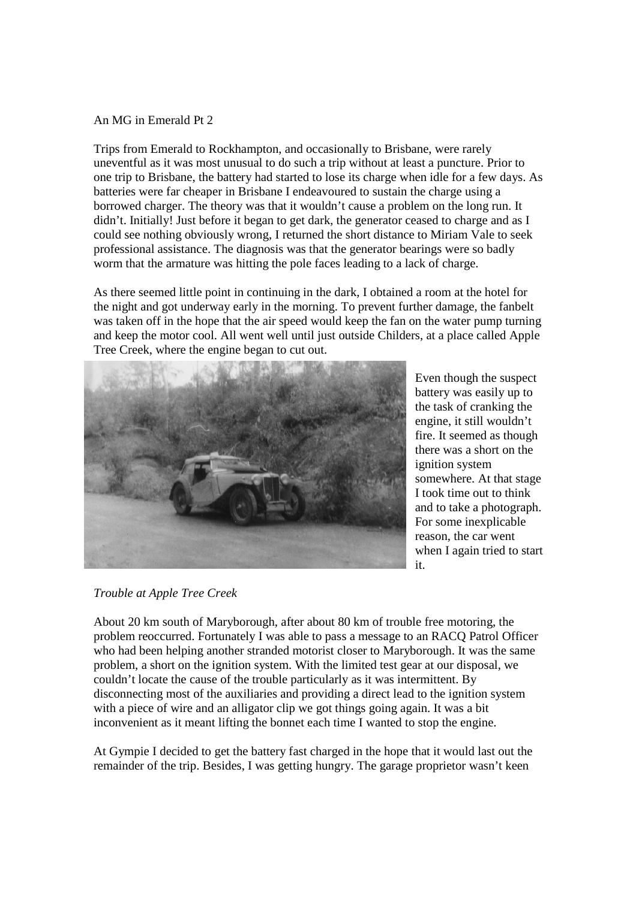## An MG in Emerald Pt 2

Trips from Emerald to Rockhampton, and occasionally to Brisbane, were rarely uneventful as it was most unusual to do such a trip without at least a puncture. Prior to one trip to Brisbane, the battery had started to lose its charge when idle for a few days. As batteries were far cheaper in Brisbane I endeavoured to sustain the charge using a borrowed charger. The theory was that it wouldn't cause a problem on the long run. It didn't. Initially! Just before it began to get dark, the generator ceased to charge and as I could see nothing obviously wrong, I returned the short distance to Miriam Vale to seek professional assistance. The diagnosis was that the generator bearings were so badly worm that the armature was hitting the pole faces leading to a lack of charge.

As there seemed little point in continuing in the dark, I obtained a room at the hotel for the night and got underway early in the morning. To prevent further damage, the fanbelt was taken off in the hope that the air speed would keep the fan on the water pump turning and keep the motor cool. All went well until just outside Childers, at a place called Apple Tree Creek, where the engine began to cut out.



Even though the suspect battery was easily up to the task of cranking the engine, it still wouldn't fire. It seemed as though there was a short on the ignition system somewhere. At that stage I took time out to think and to take a photograph. For some inexplicable reason, the car went when I again tried to start it.

*Trouble at Apple Tree Creek*

About 20 km south of Maryborough, after about 80 km of trouble free motoring, the problem reoccurred. Fortunately I was able to pass a message to an RACQ Patrol Officer who had been helping another stranded motorist closer to Maryborough. It was the same problem, a short on the ignition system. With the limited test gear at our disposal, we couldn't locate the cause of the trouble particularly as it was intermittent. By disconnecting most of the auxiliaries and providing a direct lead to the ignition system with a piece of wire and an alligator clip we got things going again. It was a bit inconvenient as it meant lifting the bonnet each time I wanted to stop the engine.

At Gympie I decided to get the battery fast charged in the hope that it would last out the remainder of the trip. Besides, I was getting hungry. The garage proprietor wasn't keen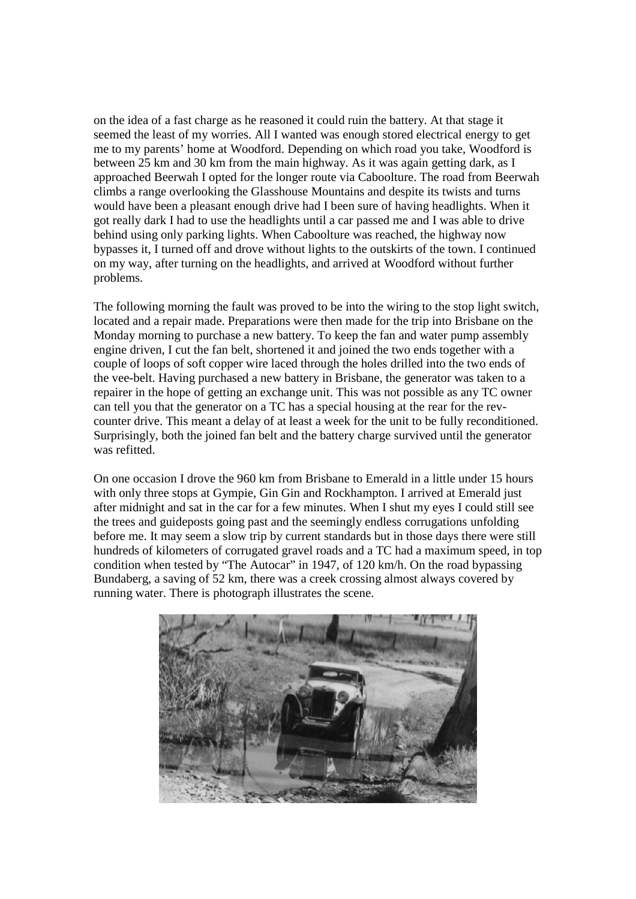on the idea of a fast charge as he reasoned it could ruin the battery. At that stage it seemed the least of my worries. All I wanted was enough stored electrical energy to get me to my parents' home at Woodford. Depending on which road you take, Woodford is between 25 km and 30 km from the main highway. As it was again getting dark, as I approached Beerwah I opted for the longer route via Caboolture. The road from Beerwah climbs a range overlooking the Glasshouse Mountains and despite its twists and turns would have been a pleasant enough drive had I been sure of having headlights. When it got really dark I had to use the headlights until a car passed me and I was able to drive behind using only parking lights. When Caboolture was reached, the highway now bypasses it, I turned off and drove without lights to the outskirts of the town. I continued on my way, after turning on the headlights, and arrived at Woodford without further problems.

The following morning the fault was proved to be into the wiring to the stop light switch, located and a repair made. Preparations were then made for the trip into Brisbane on the Monday morning to purchase a new battery. To keep the fan and water pump assembly engine driven, I cut the fan belt, shortened it and joined the two ends together with a couple of loops of soft copper wire laced through the holes drilled into the two ends of the vee-belt. Having purchased a new battery in Brisbane, the generator was taken to a repairer in the hope of getting an exchange unit. This was not possible as any TC owner can tell you that the generator on a TC has a special housing at the rear for the revcounter drive. This meant a delay of at least a week for the unit to be fully reconditioned. Surprisingly, both the joined fan belt and the battery charge survived until the generator was refitted.

On one occasion I drove the 960 km from Brisbane to Emerald in a little under 15 hours with only three stops at Gympie, Gin Gin and Rockhampton. I arrived at Emerald just after midnight and sat in the car for a few minutes. When I shut my eyes I could still see the trees and guideposts going past and the seemingly endless corrugations unfolding before me. It may seem a slow trip by current standards but in those days there were still hundreds of kilometers of corrugated gravel roads and a TC had a maximum speed, in top condition when tested by "The Autocar" in 1947, of 120 km/h. On the road bypassing Bundaberg, a saving of 52 km, there was a creek crossing almost always covered by running water. There is photograph illustrates the scene.

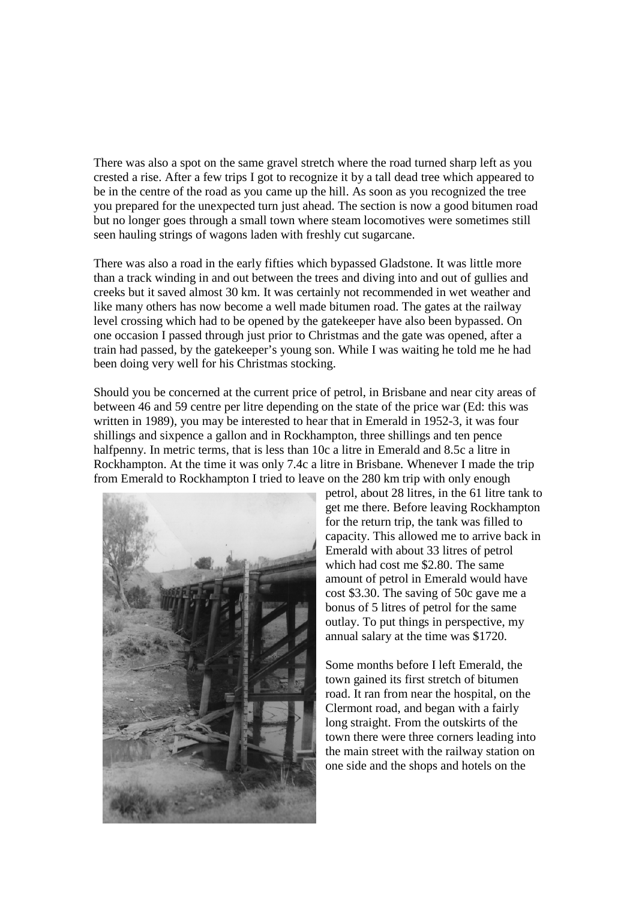There was also a spot on the same gravel stretch where the road turned sharp left as you crested a rise. After a few trips I got to recognize it by a tall dead tree which appeared to be in the centre of the road as you came up the hill. As soon as you recognized the tree you prepared for the unexpected turn just ahead. The section is now a good bitumen road but no longer goes through a small town where steam locomotives were sometimes still seen hauling strings of wagons laden with freshly cut sugarcane.

There was also a road in the early fifties which bypassed Gladstone. It was little more than a track winding in and out between the trees and diving into and out of gullies and creeks but it saved almost 30 km. It was certainly not recommended in wet weather and like many others has now become a well made bitumen road. The gates at the railway level crossing which had to be opened by the gatekeeper have also been bypassed. On one occasion I passed through just prior to Christmas and the gate was opened, after a train had passed, by the gatekeeper's young son. While I was waiting he told me he had been doing very well for his Christmas stocking.

Should you be concerned at the current price of petrol, in Brisbane and near city areas of between 46 and 59 centre per litre depending on the state of the price war (Ed: this was written in 1989), you may be interested to hear that in Emerald in 1952-3, it was four shillings and sixpence a gallon and in Rockhampton, three shillings and ten pence halfpenny. In metric terms, that is less than 10c a litre in Emerald and 8.5c a litre in Rockhampton. At the time it was only 7.4c a litre in Brisbane. Whenever I made the trip from Emerald to Rockhampton I tried to leave on the 280 km trip with only enough



petrol, about 28 litres, in the 61 litre tank to get me there. Before leaving Rockhampton for the return trip, the tank was filled to capacity. This allowed me to arrive back in Emerald with about 33 litres of petrol which had cost me \$2.80. The same amount of petrol in Emerald would have cost \$3.30. The saving of 50c gave me a bonus of 5 litres of petrol for the same outlay. To put things in perspective, my annual salary at the time was \$1720.

Some months before I left Emerald, the town gained its first stretch of bitumen road. It ran from near the hospital, on the Clermont road, and began with a fairly long straight. From the outskirts of the town there were three corners leading into the main street with the railway station on one side and the shops and hotels on the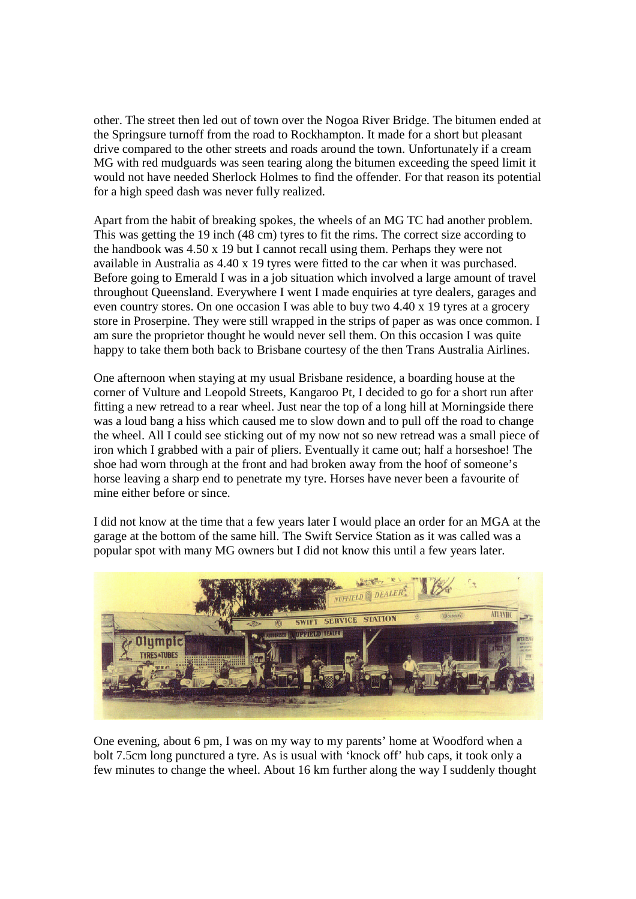other. The street then led out of town over the Nogoa River Bridge. The bitumen ended at the Springsure turnoff from the road to Rockhampton. It made for a short but pleasant drive compared to the other streets and roads around the town. Unfortunately if a cream MG with red mudguards was seen tearing along the bitumen exceeding the speed limit it would not have needed Sherlock Holmes to find the offender. For that reason its potential for a high speed dash was never fully realized.

Apart from the habit of breaking spokes, the wheels of an MG TC had another problem. This was getting the 19 inch (48 cm) tyres to fit the rims. The correct size according to the handbook was 4.50 x 19 but I cannot recall using them. Perhaps they were not available in Australia as 4.40 x 19 tyres were fitted to the car when it was purchased. Before going to Emerald I was in a job situation which involved a large amount of travel throughout Queensland. Everywhere I went I made enquiries at tyre dealers, garages and even country stores. On one occasion I was able to buy two 4.40 x 19 tyres at a grocery store in Proserpine. They were still wrapped in the strips of paper as was once common. I am sure the proprietor thought he would never sell them. On this occasion I was quite happy to take them both back to Brisbane courtesy of the then Trans Australia Airlines.

One afternoon when staying at my usual Brisbane residence, a boarding house at the corner of Vulture and Leopold Streets, Kangaroo Pt, I decided to go for a short run after fitting a new retread to a rear wheel. Just near the top of a long hill at Morningside there was a loud bang a hiss which caused me to slow down and to pull off the road to change the wheel. All I could see sticking out of my now not so new retread was a small piece of iron which I grabbed with a pair of pliers. Eventually it came out; half a horseshoe! The shoe had worn through at the front and had broken away from the hoof of someone's horse leaving a sharp end to penetrate my tyre. Horses have never been a favourite of mine either before or since.

I did not know at the time that a few years later I would place an order for an MGA at the garage at the bottom of the same hill. The Swift Service Station as it was called was a popular spot with many MG owners but I did not know this until a few years later.



One evening, about 6 pm, I was on my way to my parents' home at Woodford when a bolt 7.5cm long punctured a tyre. As is usual with 'knock off' hub caps, it took only a few minutes to change the wheel. About 16 km further along the way I suddenly thought